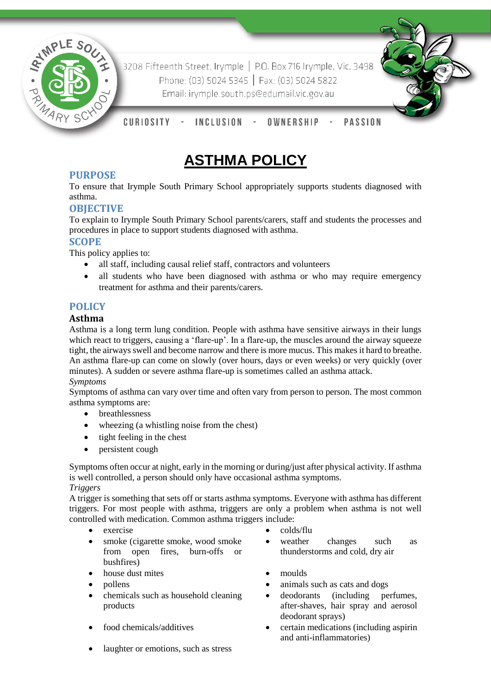

3208 Fifteenth Street, Irymple | P.O. Box 716 Irymple, Vic, 3498 Phone: (03) 5024 5345 | Fax: (03) 5024 5822 Email: irymple.south.ps@edumail.vic.gov.au



CURIOSITY **INCLUSION PASSION** OWNERSHIP

# **ASTHMA POLICY**

# **PURPOSE**

To ensure that Irymple South Primary School appropriately supports students diagnosed with asthma.

# **OBJECTIVE**

To explain to Irymple South Primary School parents/carers, staff and students the processes and procedures in place to support students diagnosed with asthma.

## **SCOPE**

This policy applies to:

- all staff, including causal relief staff, contractors and volunteers
- all students who have been diagnosed with asthma or who may require emergency treatment for asthma and their parents/carers.

## **POLICY**

#### **Asthma**

Asthma is a long term lung condition. People with asthma have sensitive airways in their lungs which react to triggers, causing a 'flare-up'. In a flare-up, the muscles around the airway squeeze tight, the airways swell and become narrow and there is more mucus. This makes it hard to breathe. An asthma flare-up can come on slowly (over hours, days or even weeks) or very quickly (over minutes). A sudden or severe asthma flare-up is sometimes called an asthma attack.

*Symptoms*

Symptoms of asthma can vary over time and often vary from person to person. The most common asthma symptoms are:

- breathlessness
- wheezing (a whistling noise from the chest)
- tight feeling in the chest
- persistent cough

Symptoms often occur at night, early in the morning or during/just after physical activity. If asthma is well controlled, a person should only have occasional asthma symptoms.

*Triggers* A trigger is something that sets off or starts asthma symptoms. Everyone with asthma has different triggers. For most people with asthma, triggers are only a problem when asthma is not well controlled with medication. Common asthma triggers include:

- 
- smoke (cigarette smoke, wood smoke from open fires, burn-offs or bushfires)
- house dust mites moulds
- 
- chemicals such as household cleaning products
- 
- laughter or emotions, such as stress
- exercise exercise exercise
	- weather changes such as thunderstorms and cold, dry air
	-
	- pollens **animals** such as cats and dogs
		- deodorants (including perfumes, after-shaves, hair spray and aerosol deodorant sprays)
	- food chemicals/additives **comparise in the certain medications (including aspirin**) and anti-inflammatories)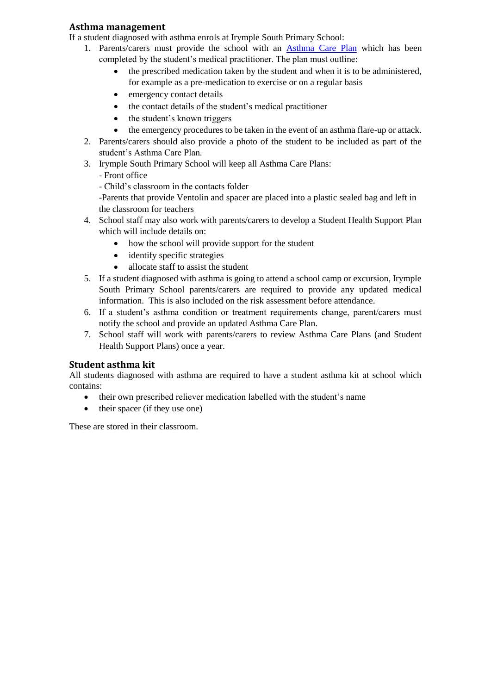#### **Asthma management**

If a student diagnosed with asthma enrols at Irymple South Primary School:

- 1. Parents/carers must provide the school with an [Asthma Care Plan](http://www.education.vic.gov.au/school/principals/spag/health/Documents/AsthmaCarePlan.pdf) which has been completed by the student's medical practitioner. The plan must outline:
	- the prescribed medication taken by the student and when it is to be administered, for example as a pre-medication to exercise or on a regular basis
	- emergency contact details
	- the contact details of the student's medical practitioner
	- the student's known triggers
	- the emergency procedures to be taken in the event of an asthma flare-up or attack.
- 2. Parents/carers should also provide a photo of the student to be included as part of the student's Asthma Care Plan.
- 3. Irymple South Primary School will keep all Asthma Care Plans:
	- Front office
	- Child's classroom in the contacts folder

-Parents that provide Ventolin and spacer are placed into a plastic sealed bag and left in the classroom for teachers

- 4. School staff may also work with parents/carers to develop a Student Health Support Plan which will include details on:
	- how the school will provide support for the student
	- identify specific strategies
	- allocate staff to assist the student
- 5. If a student diagnosed with asthma is going to attend a school camp or excursion, Irymple South Primary School parents/carers are required to provide any updated medical information. This is also included on the risk assessment before attendance.
- 6. If a student's asthma condition or treatment requirements change, parent/carers must notify the school and provide an updated Asthma Care Plan.
- 7. School staff will work with parents/carers to review Asthma Care Plans (and Student Health Support Plans) once a year.

## **Student asthma kit**

All students diagnosed with asthma are required to have a student asthma kit at school which contains:

- their own prescribed reliever medication labelled with the student's name
- $\bullet$  their spacer (if they use one)

These are stored in their classroom.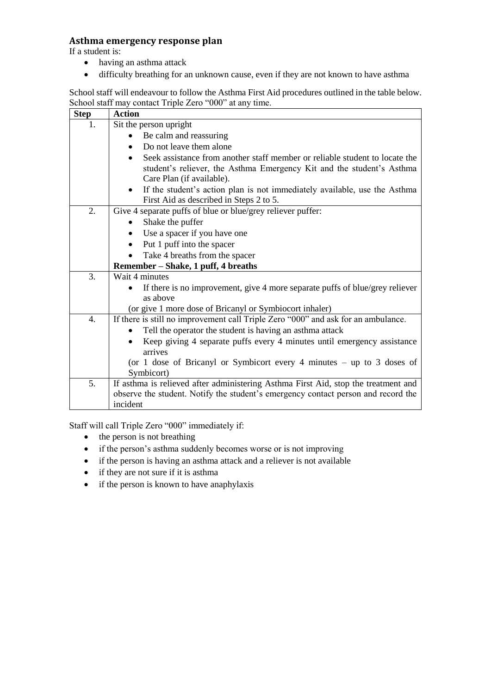## **Asthma emergency response plan**

If a student is:

- having an asthma attack
- difficulty breathing for an unknown cause, even if they are not known to have asthma

School staff will endeavour to follow the Asthma First Aid procedures outlined in the table below. School staff may contact Triple Zero "000" at any time.

| <b>Step</b>      | <b>Action</b>                                                                      |  |  |  |  |  |
|------------------|------------------------------------------------------------------------------------|--|--|--|--|--|
| 1.               | Sit the person upright                                                             |  |  |  |  |  |
|                  | Be calm and reassuring                                                             |  |  |  |  |  |
|                  | Do not leave them alone                                                            |  |  |  |  |  |
|                  | Seek assistance from another staff member or reliable student to locate the        |  |  |  |  |  |
|                  | student's reliever, the Asthma Emergency Kit and the student's Asthma              |  |  |  |  |  |
|                  | Care Plan (if available).                                                          |  |  |  |  |  |
|                  | If the student's action plan is not immediately available, use the Asthma          |  |  |  |  |  |
|                  | First Aid as described in Steps 2 to 5.                                            |  |  |  |  |  |
| 2.               | Give 4 separate puffs of blue or blue/grey reliever puffer:                        |  |  |  |  |  |
|                  | Shake the puffer                                                                   |  |  |  |  |  |
|                  | Use a spacer if you have one                                                       |  |  |  |  |  |
|                  | Put 1 puff into the spacer                                                         |  |  |  |  |  |
|                  | Take 4 breaths from the spacer                                                     |  |  |  |  |  |
|                  | Remember – Shake, 1 puff, 4 breaths                                                |  |  |  |  |  |
| 3.               | Wait 4 minutes                                                                     |  |  |  |  |  |
|                  | If there is no improvement, give 4 more separate puffs of blue/grey reliever       |  |  |  |  |  |
|                  | as above                                                                           |  |  |  |  |  |
|                  | (or give 1 more dose of Bricanyl or Symbiocort inhaler)                            |  |  |  |  |  |
| $\overline{4}$ . | If there is still no improvement call Triple Zero "000" and ask for an ambulance.  |  |  |  |  |  |
|                  | Tell the operator the student is having an asthma attack                           |  |  |  |  |  |
|                  | Keep giving 4 separate puffs every 4 minutes until emergency assistance            |  |  |  |  |  |
|                  | arrives                                                                            |  |  |  |  |  |
|                  | (or 1 dose of Bricanyl or Symbicort every 4 minutes $-$ up to 3 doses of           |  |  |  |  |  |
|                  | Symbicort)                                                                         |  |  |  |  |  |
| 5.               | If asthma is relieved after administering Asthma First Aid, stop the treatment and |  |  |  |  |  |
|                  | observe the student. Notify the student's emergency contact person and record the  |  |  |  |  |  |
|                  | incident                                                                           |  |  |  |  |  |

Staff will call Triple Zero "000" immediately if:

- the person is not breathing
- if the person's asthma suddenly becomes worse or is not improving
- if the person is having an asthma attack and a reliever is not available
- if they are not sure if it is asthma
- if the person is known to have anaphylaxis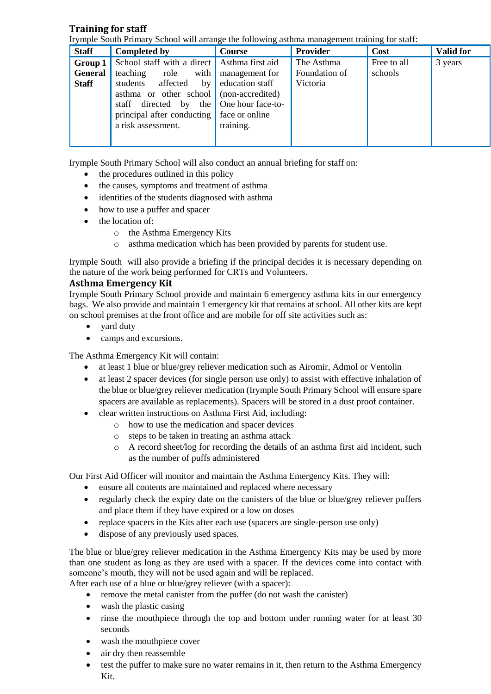## **Training for staff**

Irymple South Primary School will arrange the following asthma management training for staff:

| <b>Staff</b>   | <b>Completed by</b>                         | Course            | Provider      | Cost        | <b>Valid for</b> |
|----------------|---------------------------------------------|-------------------|---------------|-------------|------------------|
| Group 1        | School staff with a direct Asthma first aid |                   | The Asthma    | Free to all | 3 years          |
| <b>General</b> | with<br>teaching<br>role                    | management for    | Foundation of | schools     |                  |
| <b>Staff</b>   | students<br>affected<br>by                  | education staff   | Victoria      |             |                  |
|                | asthma or other school (non-accredited)     |                   |               |             |                  |
|                | directed by<br>the<br>staff                 | One hour face-to- |               |             |                  |
|                | principal after conducting                  | face or online    |               |             |                  |
|                | a risk assessment.                          | training.         |               |             |                  |
|                |                                             |                   |               |             |                  |
|                |                                             |                   |               |             |                  |

Irymple South Primary School will also conduct an annual briefing for staff on:

- the procedures outlined in this policy
- the causes, symptoms and treatment of asthma
- identities of the students diagnosed with asthma
- how to use a puffer and spacer
- the location of:
	- o the Asthma Emergency Kits
	- o asthma medication which has been provided by parents for student use.

Irymple South will also provide a briefing if the principal decides it is necessary depending on the nature of the work being performed for CRTs and Volunteers.

#### **Asthma Emergency Kit**

Irymple South Primary School provide and maintain 6 emergency asthma kits in our emergency bags. We also provide and maintain 1 emergency kit that remains at school. All other kits are kept on school premises at the front office and are mobile for off site activities such as:

- yard duty
- camps and excursions.

The Asthma Emergency Kit will contain:

- at least 1 blue or blue/grey reliever medication such as Airomir, Admol or Ventolin
- at least 2 spacer devices (for single person use only) to assist with effective inhalation of the blue or blue/grey reliever medication (Irymple South Primary School will ensure spare spacers are available as replacements). Spacers will be stored in a dust proof container.
- clear written instructions on Asthma First Aid, including:
	- o how to use the medication and spacer devices
	- o steps to be taken in treating an asthma attack
	- o A record sheet/log for recording the details of an asthma first aid incident, such as the number of puffs administered

Our First Aid Officer will monitor and maintain the Asthma Emergency Kits. They will:

- ensure all contents are maintained and replaced where necessary
- regularly check the expiry date on the canisters of the blue or blue/grey reliever puffers and place them if they have expired or a low on doses
- replace spacers in the Kits after each use (spacers are single-person use only)
- dispose of any previously used spaces.

The blue or blue/grey reliever medication in the Asthma Emergency Kits may be used by more than one student as long as they are used with a spacer. If the devices come into contact with someone's mouth, they will not be used again and will be replaced.

After each use of a blue or blue/grey reliever (with a spacer):

- remove the metal canister from the puffer (do not wash the canister)
- wash the plastic casing
- rinse the mouthpiece through the top and bottom under running water for at least 30 seconds
- wash the mouthpiece cover
- air dry then reassemble
- test the puffer to make sure no water remains in it, then return to the Asthma Emergency Kit.